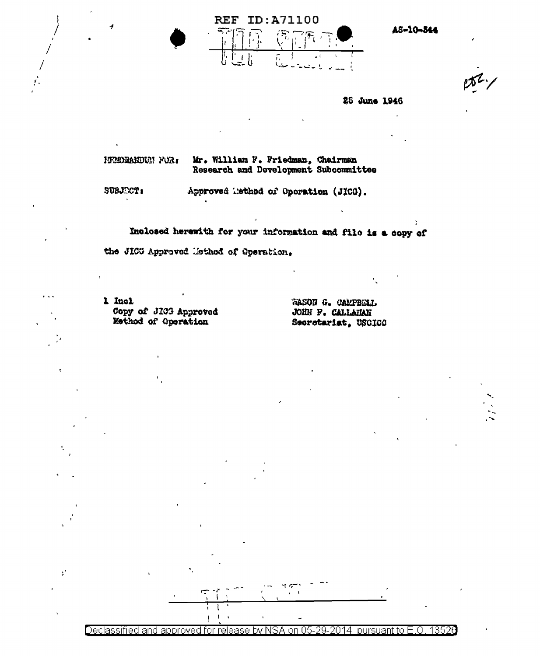

AS-10-344

 $152/$ 

25 June 1946

Mr. William F. Friedman, Chairman ITEORANDUM FOR: Research and Development Subcommittee

SUBJECT:

 $\mathcal{V}$ 

Approved Tethod of Operation (JICG).

Inclosed herewith for your information and file is a copy of the JICG Approved Method of Operation.

1 Incl Copy of JIC3 Approved Method of Operation

WASON G. CAMPBELL **JOHN P. CALLAHAN** Secretariat, USCICO



Declassified and approved for release by NSA on 05-29-2014 pursuant to E.O. 13526

 $\mathbf{r}$ 

÷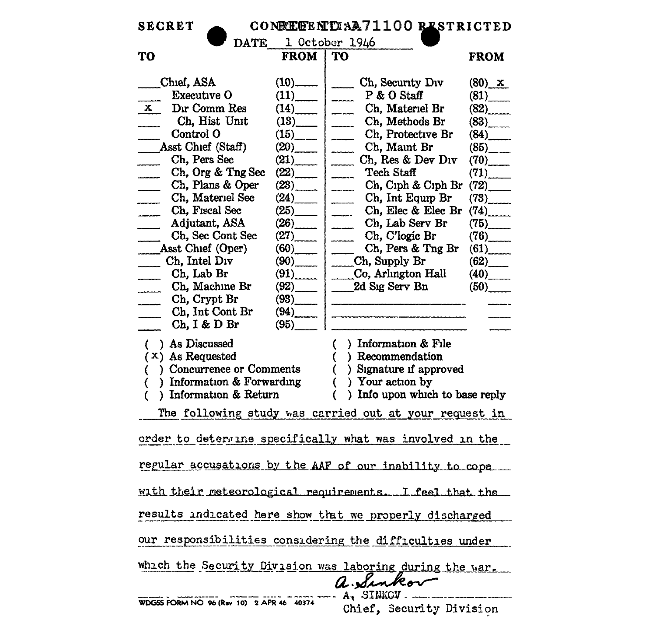| CONREGENTIAA71100 RESTRICTED<br><b>SECRET</b>                                                                                                                                                                                                                                      |                                                                                                             |                                                                                                                                                                                                                                                                                                                                                                                                                       |                                                                                                                           |  |  |  |  |  |  |
|------------------------------------------------------------------------------------------------------------------------------------------------------------------------------------------------------------------------------------------------------------------------------------|-------------------------------------------------------------------------------------------------------------|-----------------------------------------------------------------------------------------------------------------------------------------------------------------------------------------------------------------------------------------------------------------------------------------------------------------------------------------------------------------------------------------------------------------------|---------------------------------------------------------------------------------------------------------------------------|--|--|--|--|--|--|
| DATE 1 October 1946                                                                                                                                                                                                                                                                |                                                                                                             |                                                                                                                                                                                                                                                                                                                                                                                                                       |                                                                                                                           |  |  |  |  |  |  |
| TO                                                                                                                                                                                                                                                                                 | <b>FROM</b>                                                                                                 | TO                                                                                                                                                                                                                                                                                                                                                                                                                    | <b>FROM</b>                                                                                                               |  |  |  |  |  |  |
| Chief, ASA<br><b>Executive O</b><br>Dır Comm Res<br>$\mathbf{x}$<br>Ch, Hist Unit<br>______<br>Control O<br>____Asst Chief (Staff)<br>Ch, Pers Sec<br>Ch, Org & Tng Sec<br>$\overline{\phantom{a}}$<br>Ch, Plans & Oper<br>------<br>Ch, Materiel Sec<br>-------<br>Ch, Fiscal Sec | $(10)$ ——<br>(11)<br>(14)<br>$(13)$ <sub>____</sub><br>(15)<br>(20)<br>(21)<br>(22)<br>(23)<br>(24)<br>(25) | Ch, Security Div<br>$\frac{1}{2}$<br>P & O Staff<br>$\sim$<br>Ch, Materiel Br<br>$\frac{1}{2}$<br>Ch, Methods Br<br>$\frac{1}{2}$<br>Ch, Protective Br<br>المستنف<br>Ch, Maint Br<br>$\frac{1}{1}$<br>Ch, Res & Dev Div<br>$\overline{\phantom{a}}$<br>Tech Staff<br>$\overline{\phantom{a}}$<br>Ch, Ciph & Ciph Br<br>$\overline{\phantom{a}}$<br>Ch, Int Equip Br<br>$\overline{\phantom{a}}$<br>Ch, Elec & Elec Br | $(80)$ x<br>(81)<br>(82)<br>$(83)$ <sub>---</sub><br>(84)<br>$(85)$ <sub>--</sub><br>(70)<br>(71)<br>(72)<br>(73)<br>(74) |  |  |  |  |  |  |
| Adjutant, ASA<br>Ch, Sec Cont Sec<br>Asst Chief (Oper)<br>$\frac{C_{h}}{C_{h}}$ Intel Div<br>Ch, Lab Br<br>Ch, Machine Br<br>Ch, Crypt Br<br>Ch, Int Cont Br<br>Ch, I & D Br                                                                                                       | (26)<br>(27)<br>(60)<br>(90)<br>(91)<br>$(92)$  <br>$(95)$ <sub>____</sub>                                  | $\frac{1}{2}$<br>$\overline{\phantom{a}}$<br>Ch, Lab Serv Br<br>Ch, C'logic Br<br>Ch, Pers & Tng Br<br>$\frac{1}{2}$<br>Ch, Supply Br<br>Co, Arlington Hall<br>2d Sig Serv Bn<br>$(93)$ $\qquad \qquad$ $\qquad \qquad$<br>$(94)$ $\qquad \qquad$                                                                                                                                                                     | (75)<br>(76)<br>(61)<br>(62)<br>$(40)$ <sub>___</sub><br>(50)                                                             |  |  |  |  |  |  |
| ( ) As Discussed<br>$(x)$ As Requested<br>( ) Concurrence or Comments<br>) Information & Forwarding<br>€<br>) Information & Return<br>0                                                                                                                                            |                                                                                                             | ) Information & File<br>€<br>) Recommendation<br>€<br>() Signature if approved<br>) Your action by<br>(<br>) Info upon which to base reply<br>(                                                                                                                                                                                                                                                                       |                                                                                                                           |  |  |  |  |  |  |
| The following study was carried out at your request in                                                                                                                                                                                                                             |                                                                                                             |                                                                                                                                                                                                                                                                                                                                                                                                                       |                                                                                                                           |  |  |  |  |  |  |
| order to determine specifically what was involved in the                                                                                                                                                                                                                           |                                                                                                             |                                                                                                                                                                                                                                                                                                                                                                                                                       |                                                                                                                           |  |  |  |  |  |  |
| regular accusations by the AAF of our inability to cope                                                                                                                                                                                                                            |                                                                                                             |                                                                                                                                                                                                                                                                                                                                                                                                                       |                                                                                                                           |  |  |  |  |  |  |
| with their meteorological requirements. I feel that the                                                                                                                                                                                                                            |                                                                                                             |                                                                                                                                                                                                                                                                                                                                                                                                                       |                                                                                                                           |  |  |  |  |  |  |
| results indicated here show that we properly discharged                                                                                                                                                                                                                            |                                                                                                             |                                                                                                                                                                                                                                                                                                                                                                                                                       |                                                                                                                           |  |  |  |  |  |  |
| our responsibilities considering the difficulties under                                                                                                                                                                                                                            |                                                                                                             |                                                                                                                                                                                                                                                                                                                                                                                                                       |                                                                                                                           |  |  |  |  |  |  |
| which the Security Division was laboring during the war.<br>a. Sinkov                                                                                                                                                                                                              |                                                                                                             |                                                                                                                                                                                                                                                                                                                                                                                                                       |                                                                                                                           |  |  |  |  |  |  |
| WDGSS FORM NO 96 (Rev 10) 2 APR 46 40374                                                                                                                                                                                                                                           |                                                                                                             | A, SINKOV.<br>Chief, Security Division                                                                                                                                                                                                                                                                                                                                                                                |                                                                                                                           |  |  |  |  |  |  |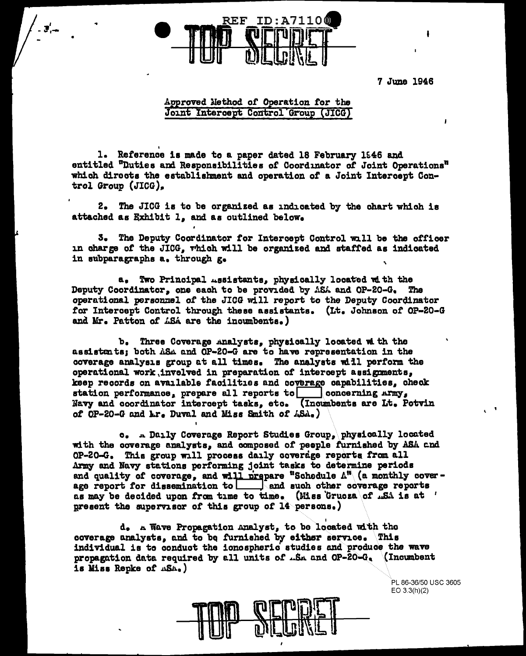

7 June 1946

 $\mathbf{I}$ 

## Approved Method of Operation for the Joint Intercept Control Group (JICG)

1. Reference is made to a paper dated 18 February 1946 and entitled "Duties and Responsibilities of Coordinator of Joint Operations" which directs the establishment and operation of a Joint Intercept Control Group  $(JICG)$ .

2. The JICG is to be organized as indicated by the chart which is attached as Exhibit 1, and as outlined below.

3. The Deputy Coordinator for Intercept Control will be the officer in charge of the JICG, which will be organized and staffed as indicated in subparagraphs a. through g.

a. Two Principal Assistants, physically located with the Deputy Coordinator, one each to be provided by ASA and OP-20-G. The operational personnel of the JICG will report to the Deputy Coordinator for Intercept Control through these assistants. (It. Johnson of OP-20-G and Mr. Patton of ASA are the incumbents.)

b. Three Coverage Analysts, physically located with the assistants; both ASA and OP-20-G are to have representation in the coverage analysis group at all times. The analysts will perform the operational work invelved in preparation of intercept assignments, keep records on available facilities and coverage capabilities, check station performance, prepare all reports to concerning Army, Navy and coordinator intercept tasks, etc. (Incumbents are Lt. Potvin of OP-20-G and Lr. Duval and Miss Smith of ASA.)

c. A Daily Coverage Report Studies Group, physically located with the coverage analysts, and composed of people furnished by ASA and OP-20-G. This group will process daily coverage reports from all Army and Navy stations performing joint tasks to determine periods and quality of coverage, and will prepare "Schedule  $\Lambda^{\mathfrak{m}}$  (a monthly coverage report for dissemination to and such other coverage reports as may be decided upon from time to time. (Hiss Grucza of ...S. is at ' present the supervisor of this group of  $14$  persons.)

d. A Wave Propagation Analyst, to be located with the coverage unalysts, and to be furnished by either service. This individual is to conduct the ionospheric studies and produce the wave propagation data required by all units of .S. and OP-20-G. (Incumbent is Miss Repke of ASA.)

> PL 86-36/50 USC 3605  $EO 3.3(h)(2)$

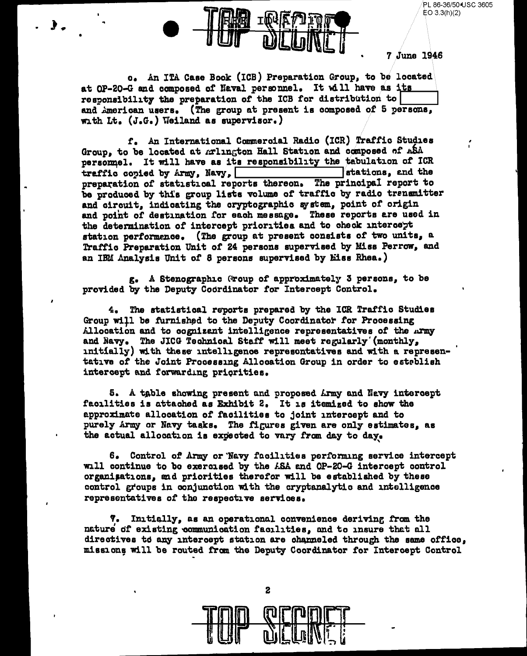PL 86-36/50 USC 3605 EO 3.3(h)(2)



o. An ITA Case Book (ICB) Preparation Group, to be located at OP-20-G and composed of Naval personnel. It will have as its responsibility the preparation of the ICB for distribution to and American users. (The group at present is composed of 5 persons, with Lt. (J.G.) Weiland as supervisor.)

f. An International Commercial Radio (ICR) Traffic Studies Group, to be located at Arlington Hall Station and composed of ASA personmel. It will have as its responsibility the tabulation of ICR stations, and the traffic copied by Army, Navy, preparation of statistical reports thereon. The principal report to be produced by this group lists volume of traffic by radio transmitter and circuit, indicating the cryptographic system, point of origin and point of destination for each message. These reports are used in the determination of intercept priorities and to check intercept station performance. (The group at present consists of two units, a Traffic Preparation Unit of 24 persons supervised by Miss Perrow, and an IBM Analysis Unit of 8 persons supervised by Liss Rhea.)

g. A Stenographic (roup of approximately 3 persons, to be provided by the Deputy Coordinator for Intercept Control.

4. The statistical reports prepared by the ICR Traffic Studies Group will be furnished to the Deputy Coordinator for Processing Allocation and to cognizent intelligence representatives of the Army and Navy. The JICG Technical Staff will meet regularly (monthly, initially) with these intelligence representatives and with a representative of the Joint Processing Allocation Group in order to esteblish intercept and forwarding priorities.

5. A table showing present and proposed Army and Navy intercept facilities is attached as Exhibit 2. It is itemized to show the approximate allocation of facilities to joint intercept and to purely Army or Navy tasks. The figures given are only estimates, as the actual allocation is expected to vary from day to day.

6. Control of Army or Navy facilities performing service intercept will continue to be exercised by the ASA and OP-20-G intercept control organisations, and priorities therefor will be established by these control groups in conjunction with the cryptanalytic and intelligence representatives of the respective services.

7. Initially, as an operational convenience deriving from the nature of existing communication facilities, and to insure that all directives to any intercept station are channeled through the same office, missions will be routed from the Deputy Coordinator for Intercept Control



 $\mathbf{z}$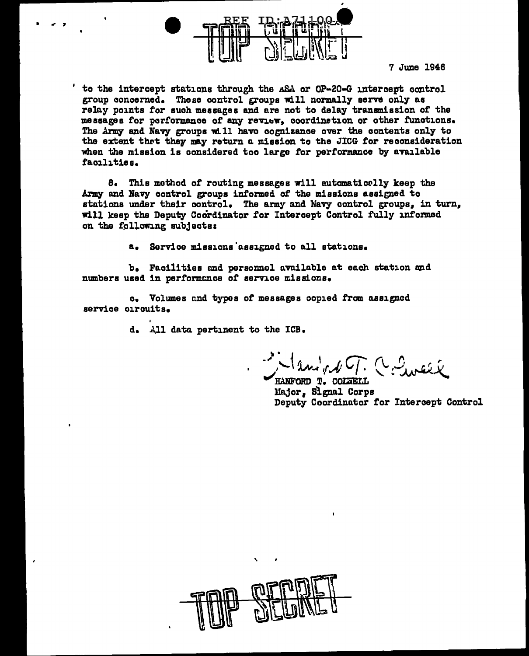

7 June 1946

to the intercept stations through the ASA or OP-20-G intercept control group concerned. These control groups will normally serve only as relay points for such messages and are not to delay transmission of the messages for performance of any review, coordination or other functions. The Army and Navy groups will have cognizance over the contents only to the extent that they may return a mission to the JICG for reconsideration when the mission is considered too large for performance by available facilities.

8. This method of routing messages will automatically keep the Army and Navy control groups informed of the missions assigned to stations under their control. The army and Navy control groups, in turn, will keep the Deputy Coordinator for Intercept Control fully informed on the following subjects:

> Sorvice missions assigned to all stations.  $a_{-}$

b. Facilities and personnel available at each station and numbers used in performance of service missions.

c. Volumes and types of messages copied from assigned service circuits.

d. All data pertinent to the ICB.

Manight T. C. Sincer

**HANFORD T. COLTELL** Major. Signal Corps Deputy Coordinator for Intercept Control

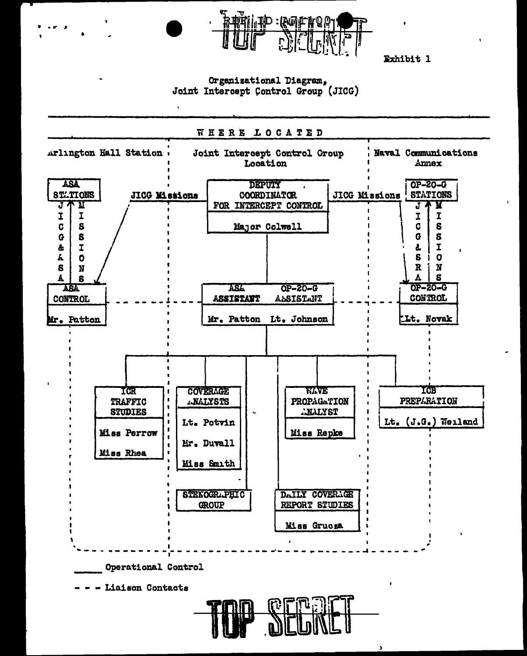

Exhibit 1

## Organizational Diagram. Joint Intercept Control Group (JICG)